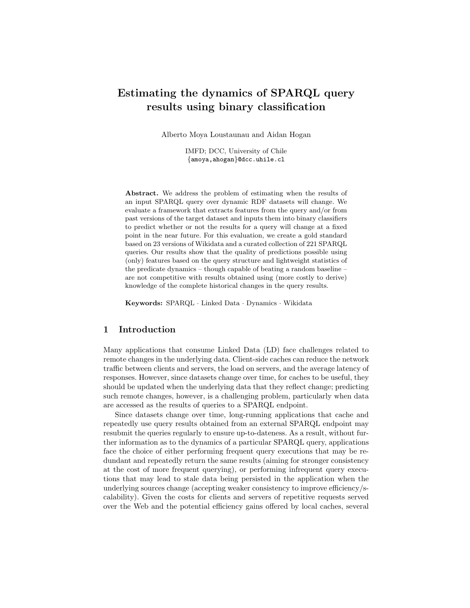# Estimating the dynamics of SPARQL query results using binary classification

Alberto Moya Loustaunau and Aidan Hogan

IMFD; DCC, University of Chile {amoya,ahogan}@dcc.uhile.cl

Abstract. We address the problem of estimating when the results of an input SPARQL query over dynamic RDF datasets will change. We evaluate a framework that extracts features from the query and/or from past versions of the target dataset and inputs them into binary classifiers to predict whether or not the results for a query will change at a fixed point in the near future. For this evaluation, we create a gold standard based on 23 versions of Wikidata and a curated collection of 221 SPARQL queries. Our results show that the quality of predictions possible using (only) features based on the query structure and lightweight statistics of the predicate dynamics – though capable of beating a random baseline – are not competitive with results obtained using (more costly to derive) knowledge of the complete historical changes in the query results.

Keywords: SPARQL · Linked Data · Dynamics · Wikidata

### 1 Introduction

Many applications that consume Linked Data (LD) face challenges related to remote changes in the underlying data. Client-side caches can reduce the network traffic between clients and servers, the load on servers, and the average latency of responses. However, since datasets change over time, for caches to be useful, they should be updated when the underlying data that they reflect change; predicting such remote changes, however, is a challenging problem, particularly when data are accessed as the results of queries to a SPARQL endpoint.

Since datasets change over time, long-running applications that cache and repeatedly use query results obtained from an external SPARQL endpoint may resubmit the queries regularly to ensure up-to-dateness. As a result, without further information as to the dynamics of a particular SPARQL query, applications face the choice of either performing frequent query executions that may be redundant and repeatedly return the same results (aiming for stronger consistency at the cost of more frequent querying), or performing infrequent query executions that may lead to stale data being persisted in the application when the underlying sources change (accepting weaker consistency to improve efficiency/scalability). Given the costs for clients and servers of repetitive requests served over the Web and the potential efficiency gains offered by local caches, several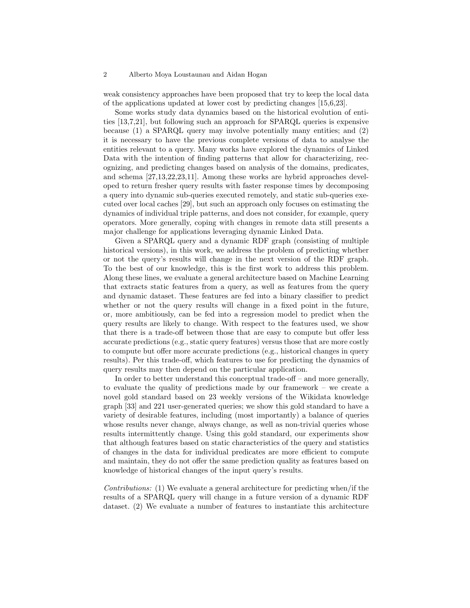#### 2 Alberto Moya Loustaunau and Aidan Hogan

weak consistency approaches have been proposed that try to keep the local data of the applications updated at lower cost by predicting changes [\[15,](#page-14-0)[6,](#page-14-1)[23\]](#page-15-0).

Some works study data dynamics based on the historical evolution of entities [\[13,](#page-14-2)[7,](#page-14-3)[21\]](#page-15-1), but following such an approach for SPARQL queries is expensive because (1) a SPARQL query may involve potentially many entities; and (2) it is necessary to have the previous complete versions of data to analyse the entities relevant to a query. Many works have explored the dynamics of Linked Data with the intention of finding patterns that allow for characterizing, recognizing, and predicting changes based on analysis of the domains, predicates, and schema [\[27,](#page-15-2)[13,](#page-14-2)[22](#page-15-3)[,23,](#page-15-0)[11\]](#page-14-4). Among these works are hybrid approaches developed to return fresher query results with faster response times by decomposing a query into dynamic sub-queries executed remotely, and static sub-queries executed over local caches [\[29\]](#page-15-4), but such an approach only focuses on estimating the dynamics of individual triple patterns, and does not consider, for example, query operators. More generally, coping with changes in remote data still presents a major challenge for applications leveraging dynamic Linked Data.

Given a SPARQL query and a dynamic RDF graph (consisting of multiple historical versions), in this work, we address the problem of predicting whether or not the query's results will change in the next version of the RDF graph. To the best of our knowledge, this is the first work to address this problem. Along these lines, we evaluate a general architecture based on Machine Learning that extracts static features from a query, as well as features from the query and dynamic dataset. These features are fed into a binary classifier to predict whether or not the query results will change in a fixed point in the future, or, more ambitiously, can be fed into a regression model to predict when the query results are likely to change. With respect to the features used, we show that there is a trade-off between those that are easy to compute but offer less accurate predictions (e.g., static query features) versus those that are more costly to compute but offer more accurate predictions (e.g., historical changes in query results). Per this trade-off, which features to use for predicting the dynamics of query results may then depend on the particular application.

In order to better understand this conceptual trade-off – and more generally, to evaluate the quality of predictions made by our framework – we create a novel gold standard based on 23 weekly versions of the Wikidata knowledge graph [\[33\]](#page-15-5) and 221 user-generated queries; we show this gold standard to have a variety of desirable features, including (most importantly) a balance of queries whose results never change, always change, as well as non-trivial queries whose results intermittently change. Using this gold standard, our experiments show that although features based on static characteristics of the query and statistics of changes in the data for individual predicates are more efficient to compute and maintain, they do not offer the same prediction quality as features based on knowledge of historical changes of the input query's results.

Contributions: (1) We evaluate a general architecture for predicting when/if the results of a SPARQL query will change in a future version of a dynamic RDF dataset. (2) We evaluate a number of features to instantiate this architecture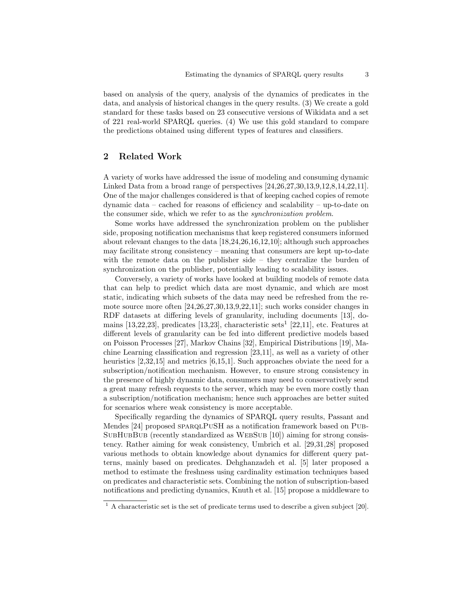based on analysis of the query, analysis of the dynamics of predicates in the data, and analysis of historical changes in the query results. (3) We create a gold standard for these tasks based on 23 consecutive versions of Wikidata and a set of 221 real-world SPARQL queries. (4) We use this gold standard to compare the predictions obtained using different types of features and classifiers.

# 2 Related Work

A variety of works have addressed the issue of modeling and consuming dynamic Linked Data from a broad range of perspectives [\[24,](#page-15-6)[26](#page-15-7)[,27,](#page-15-2)[30,](#page-15-8)[13,](#page-14-2)[9](#page-14-5)[,12,](#page-14-6)[8,](#page-14-7)[14,](#page-14-8)[22,](#page-15-3)[11\]](#page-14-4). One of the major challenges considered is that of keeping cached copies of remote dynamic data – cached for reasons of efficiency and scalability – up-to-date on the consumer side, which we refer to as the synchronization problem.

Some works have addressed the synchronization problem on the publisher side, proposing notification mechanisms that keep registered consumers informed about relevant changes to the data [\[18](#page-14-9)[,24,](#page-15-6)[26,](#page-15-7)[16](#page-14-10)[,12,](#page-14-6)[10\]](#page-14-11); although such approaches may facilitate strong consistency – meaning that consumers are kept up-to-date with the remote data on the publisher side – they centralize the burden of synchronization on the publisher, potentially leading to scalability issues.

Conversely, a variety of works have looked at building models of remote data that can help to predict which data are most dynamic, and which are most static, indicating which subsets of the data may need be refreshed from the remote source more often [\[24,](#page-15-6)[26,](#page-15-7)[27](#page-15-2)[,30,](#page-15-8)[13,](#page-14-2)[9,](#page-14-5)[22](#page-15-3)[,11\]](#page-14-4); such works consider changes in RDF datasets at differing levels of granularity, including documents [\[13\]](#page-14-2), domains  $[13,22,23]$  $[13,22,23]$  $[13,22,23]$ , predicates  $[13,23]$  $[13,23]$ , characteristic sets<sup>[1](#page-2-0)</sup>  $[22,11]$  $[22,11]$ , etc. Features at different levels of granularity can be fed into different predictive models based on Poisson Processes [\[27\]](#page-15-2), Markov Chains [\[32\]](#page-15-9), Empirical Distributions [\[19\]](#page-15-10), Machine Learning classification and regression [\[23,](#page-15-0)[11\]](#page-14-4), as well as a variety of other heuristics [\[2,](#page-14-12)[32,](#page-15-9)[15\]](#page-14-0) and metrics [\[6](#page-14-1)[,15,](#page-14-0)[1\]](#page-14-13). Such approaches obviate the need for a subscription/notification mechanism. However, to ensure strong consistency in the presence of highly dynamic data, consumers may need to conservatively send a great many refresh requests to the server, which may be even more costly than a subscription/notification mechanism; hence such approaches are better suited for scenarios where weak consistency is more acceptable.

Specifically regarding the dynamics of SPARQL query results, Passant and Mendes [\[24\]](#page-15-6) proposed SPARQLPUSH as a notification framework based on PUB-SUBHUBBUB (recently standardized as WEBSUB [\[10\]](#page-14-11)) aiming for strong consistency. Rather aiming for weak consistency, Umbrich et al. [\[29,](#page-15-4)[31,](#page-15-11)[28\]](#page-15-12) proposed various methods to obtain knowledge about dynamics for different query patterns, mainly based on predicates. Dehghanzadeh et al. [\[5\]](#page-14-14) later proposed a method to estimate the freshness using cardinality estimation techniques based on predicates and characteristic sets. Combining the notion of subscription-based notifications and predicting dynamics, Knuth et al. [\[15\]](#page-14-0) propose a middleware to

<span id="page-2-0"></span> $1 \text{ A characteristic set is the set of predicate terms used to describe a given subject } [20].$  $1 \text{ A characteristic set is the set of predicate terms used to describe a given subject } [20].$  $1 \text{ A characteristic set is the set of predicate terms used to describe a given subject } [20].$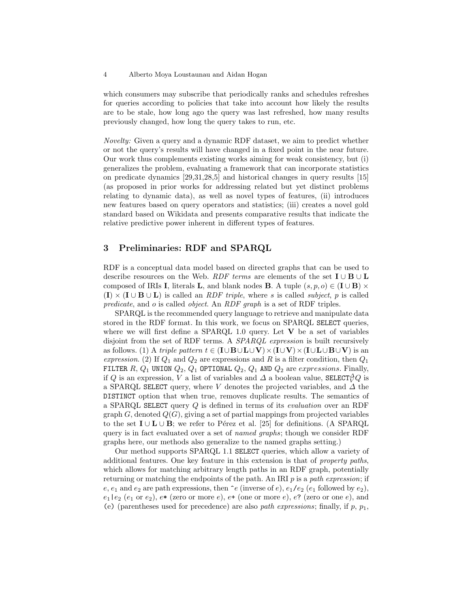which consumers may subscribe that periodically ranks and schedules refreshes for queries according to policies that take into account how likely the results are to be stale, how long ago the query was last refreshed, how many results previously changed, how long the query takes to run, etc.

Novelty: Given a query and a dynamic RDF dataset, we aim to predict whether or not the query's results will have changed in a fixed point in the near future. Our work thus complements existing works aiming for weak consistency, but (i) generalizes the problem, evaluating a framework that can incorporate statistics on predicate dynamics [\[29,](#page-15-4)[31](#page-15-11)[,28,](#page-15-12)[5\]](#page-14-14) and historical changes in query results [\[15\]](#page-14-0) (as proposed in prior works for addressing related but yet distinct problems relating to dynamic data), as well as novel types of features, (ii) introduces new features based on query operators and statistics; (iii) creates a novel gold standard based on Wikidata and presents comparative results that indicate the relative predictive power inherent in different types of features.

## 3 Preliminaries: RDF and SPARQL

RDF is a conceptual data model based on directed graphs that can be used to describe resources on the Web. RDF terms are elements of the set  $I \cup B \cup L$ composed of IRIs I, literals L, and blank nodes B. A tuple  $(s, p, o) \in (I \cup B) \times$  $(I) \times (I \cup B \cup L)$  is called an *RDF triple*, where s is called *subject*, p is called predicate, and o is called object. An RDF graph is a set of RDF triples.

SPARQL is the recommended query language to retrieve and manipulate data stored in the RDF format. In this work, we focus on SPARQL SELECT queries, where we will first define a SPARQL 1.0 query. Let  $V$  be a set of variables disjoint from the set of RDF terms. A SPARQL expression is built recursively as follows. (1) A triple pattern  $t \in (I \cup B \cup L \cup V) \times (I \cup V) \times (I \cup L \cup B \cup V)$  is an expression. (2) If  $Q_1$  and  $Q_2$  are expressions and R is a filter condition, then  $Q_1$ FILTER R,  $Q_1$  UNION  $Q_2$ ,  $Q_1$  OPTIONAL  $Q_2$ ,  $Q_1$  AND  $Q_2$  are *expressions*. Finally, if Q is an expression, V a list of variables and  $\varDelta$  a boolean value,  $\texttt{SELECT} {\mathcal{O}}_V Q$  is a SPARQL SELECT query, where V denotes the projected variables, and  $\Delta$  the DISTINCT option that when true, removes duplicate results. The semantics of a SPARQL SELECT query Q is defined in terms of its evaluation over an RDF graph  $G$ , denoted  $Q(G)$ , giving a set of partial mappings from projected variables to the set  $I \cup L \cup B$ ; we refer to Pérez et al. [\[25\]](#page-15-14) for definitions. (A SPARQL query is in fact evaluated over a set of named graphs; though we consider RDF graphs here, our methods also generalize to the named graphs setting.)

Our method supports SPARQL 1.1 SELECT queries, which allow a variety of additional features. One key feature in this extension is that of property paths, which allows for matching arbitrary length paths in an RDF graph, potentially returning or matching the endpoints of the path. An IRI  $p$  is a path expression; if e,  $e_1$  and  $e_2$  are path expressions, then  $\hat{e}$  (inverse of e),  $e_1/e_2$  (e<sub>1</sub> followed by e<sub>2</sub>),  $e_1$  |  $e_2$  ( $e_1$  or  $e_2$ ),  $e^*$  (zero or more  $e$ ),  $e^*$  (one or more  $e$ ),  $e^*$  (zero or one  $e$ ), and (e) (parentheses used for precedence) are also path expressions; finally, if p,  $p_1$ ,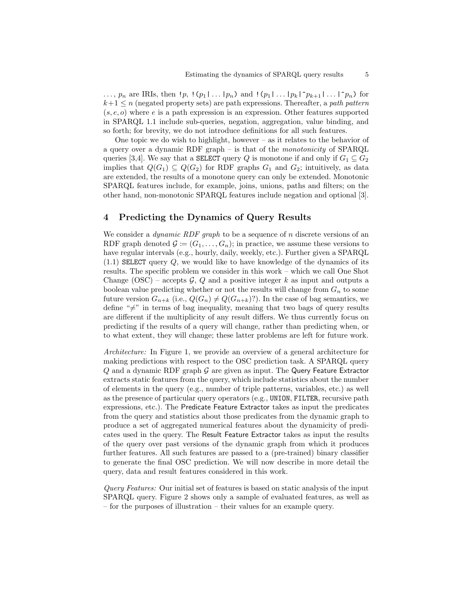$\ldots$ ,  $p_n$  are IRIs, then  $\lfloor p_1 \rfloor \lfloor (p_1 \rfloor \ldots \lfloor p_n)$  and  $\lfloor (p_1 \rfloor \ldots \lfloor p_k \rfloor^2 p_{k+1} \rfloor \ldots \lfloor p_n)$  for  $k+1 \leq n$  (negated property sets) are path expressions. Thereafter, a path pattern  $(s, e, o)$  where e is a path expression is an expression. Other features supported in SPARQL 1.1 include sub-queries, negation, aggregation, value binding, and so forth; for brevity, we do not introduce definitions for all such features.

One topic we do wish to highlight, however – as it relates to the behavior of a query over a dynamic RDF graph – is that of the monotonicity of SPARQL queries [\[3,](#page-14-15)[4\]](#page-14-16). We say that a **SELECT** query Q is monotone if and only if  $G_1 \subseteq G_2$ implies that  $Q(G_1) \subseteq Q(G_2)$  for RDF graphs  $G_1$  and  $G_2$ ; intuitively, as data are extended, the results of a monotone query can only be extended. Monotonic SPARQL features include, for example, joins, unions, paths and filters; on the other hand, non-monotonic SPARQL features include negation and optional [\[3\]](#page-14-15).

# <span id="page-4-0"></span>4 Predicting the Dynamics of Query Results

We consider a *dynamic RDF graph* to be a sequence of n discrete versions of an RDF graph denoted  $\mathcal{G} := (G_1, \ldots, G_n)$ ; in practice, we assume these versions to have regular intervals (e.g., hourly, daily, weekly, etc.). Further given a SPARQL  $(1.1)$  SELECT query  $Q$ , we would like to have knowledge of the dynamics of its results. The specific problem we consider in this work – which we call One Shot Change (OSC) – accepts  $\mathcal{G}, Q$  and a positive integer k as input and outputs a boolean value predicting whether or not the results will change from  $G_n$  to some future version  $G_{n+k}$  (i.e.,  $Q(G_n) \neq Q(G_{n+k})$ ?). In the case of bag semantics, we define " $\neq$ " in terms of bag inequality, meaning that two bags of query results are different if the multiplicity of any result differs. We thus currently focus on predicting if the results of a query will change, rather than predicting when, or to what extent, they will change; these latter problems are left for future work.

Architecture: In Figure [1,](#page-5-0) we provide an overview of a general architecture for making predictions with respect to the OSC prediction task. A SPARQL query  $Q$  and a dynamic RDF graph  $G$  are given as input. The Query Feature Extractor extracts static features from the query, which include statistics about the number of elements in the query (e.g., number of triple patterns, variables, etc.) as well as the presence of particular query operators (e.g., UNION, FILTER, recursive path expressions, etc.). The Predicate Feature Extractor takes as input the predicates from the query and statistics about those predicates from the dynamic graph to produce a set of aggregated numerical features about the dynamicity of predicates used in the query. The Result Feature Extractor takes as input the results of the query over past versions of the dynamic graph from which it produces further features. All such features are passed to a (pre-trained) binary classifier to generate the final OSC prediction. We will now describe in more detail the query, data and result features considered in this work.

Query Features: Our initial set of features is based on static analysis of the input SPARQL query. Figure [2](#page-6-0) shows only a sample of evaluated features, as well as – for the purposes of illustration – their values for an example query.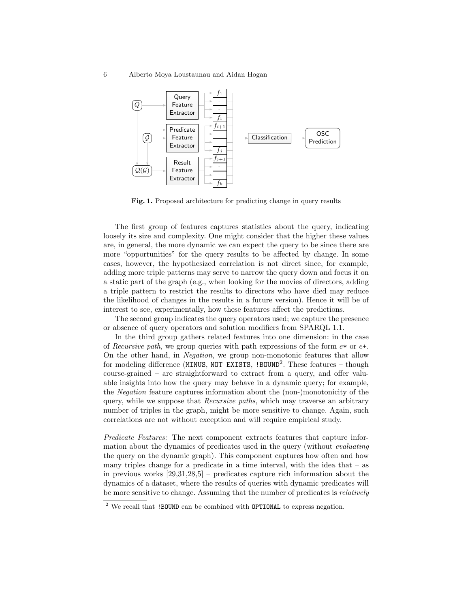6 Alberto Moya Loustaunau and Aidan Hogan



<span id="page-5-0"></span>Fig. 1. Proposed architecture for predicting change in query results

The first group of features captures statistics about the query, indicating loosely its size and complexity. One might consider that the higher these values are, in general, the more dynamic we can expect the query to be since there are more "opportunities" for the query results to be affected by change. In some cases, however, the hypothesized correlation is not direct since, for example, adding more triple patterns may serve to narrow the query down and focus it on a static part of the graph (e.g., when looking for the movies of directors, adding a triple pattern to restrict the results to directors who have died may reduce the likelihood of changes in the results in a future version). Hence it will be of interest to see, experimentally, how these features affect the predictions.

The second group indicates the query operators used; we capture the presence or absence of query operators and solution modifiers from SPARQL 1.1.

In the third group gathers related features into one dimension: in the case of Recursive path, we group queries with path expressions of the form  $e^*$  or  $e^+$ . On the other hand, in Negation, we group non-monotonic features that allow for modeling difference (MINUS, NOT EXISTS, !BOUND<sup>[2](#page-5-1)</sup>. These features  $-$  though course-grained – are straightforward to extract from a query, and offer valuable insights into how the query may behave in a dynamic query; for example, the Negation feature captures information about the (non-)monotonicity of the query, while we suppose that Recursive paths, which may traverse an arbitrary number of triples in the graph, might be more sensitive to change. Again, such correlations are not without exception and will require empirical study.

Predicate Features: The next component extracts features that capture information about the dynamics of predicates used in the query (without evaluating the query on the dynamic graph). This component captures how often and how many triples change for a predicate in a time interval, with the idea that  $-$  as in previous works  $[29,31,28,5]$  $[29,31,28,5]$  $[29,31,28,5]$  $[29,31,28,5]$  – predicates capture rich information about the dynamics of a dataset, where the results of queries with dynamic predicates will be more sensitive to change. Assuming that the number of predicates is relatively

<span id="page-5-1"></span><sup>&</sup>lt;sup>2</sup> We recall that !BOUND can be combined with OPTIONAL to express negation.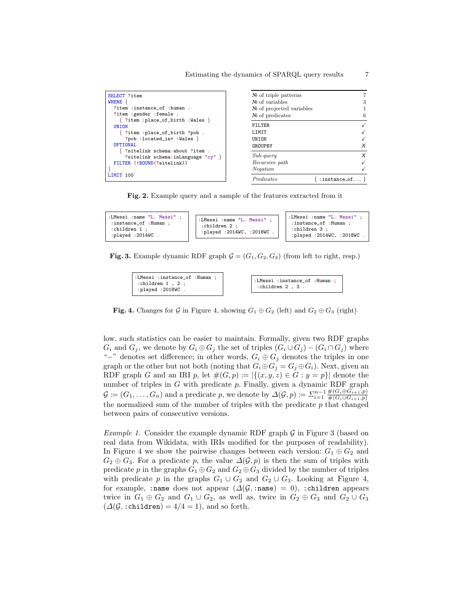| SELECT ?item                                                             | $\mathbb{N}_{2}$ of triple patterns |                          |
|--------------------------------------------------------------------------|-------------------------------------|--------------------------|
| WHERE {                                                                  | $\mathbb{N}^{\circ}$ of variables   | 3                        |
| ?item :instance of :human.                                               | $\mathbb{N}$ of projected variables |                          |
| ?item :gender :female.                                                   | $\mathbb{N}$ of predicates          | 6                        |
| { ?item :place_of_birth :Wales }<br><b>UNION</b>                         | FILTER.                             |                          |
| { ?item :place_of_birth ?pob.                                            | LIMIT                               |                          |
| ?pob :located_in* :Wales }                                               | <b>UNION</b>                        |                          |
| OPTIONAL                                                                 | GROUPBY                             | X                        |
| ?sitelink schema:about ?item .<br>?sitelink schema:inLanguage " $cy$ " } | $Sub-query$                         | X                        |
| FILTER (!BOUND(?sitelink))                                               | Recursive path                      |                          |
|                                                                          | Negation                            |                          |
| LIMIT 100                                                                | Predicates                          | : instance_of, $\dots$ } |

<span id="page-6-0"></span>Fig. 2. Example query and a sample of the features extracted from it



**Fig. 3.** Example dynamic RDF graph  $\mathcal{G} = (G_1, G_2, G_3)$  (from left to right, resp.)

<span id="page-6-2"></span>

| :LMessi :instance_of :Human ; | : LMessi :instance_of :Human: |
|-------------------------------|-------------------------------|
| : children $1$ , $2$ ;        | $:$ children 2 $.3$ .         |
| :played :2018WC .             |                               |

<span id="page-6-1"></span>Fig. 4. Changes for G in Figure [4,](#page-6-1) showing  $G_1 \oplus G_2$  (left) and  $G_2 \oplus G_3$  (right)

low, such statistics can be easier to maintain. Formally, given two RDF graphs  $G_i$  and  $G_j$ , we denote by  $G_i \oplus G_j$  the set of triples  $(G_i \cup G_j) - (G_i \cap G_j)$  where "−" denotes set difference; in other words,  $G_i \oplus G_j$  denotes the triples in one graph or the other but not both (noting that  $G_i \oplus G_j = G_j \oplus G_i$ ). Next, given an RDF graph G and an IRI p, let  $\#(G, p) := |\{(x, y, z) \in G : y = p\}|$  denote the number of triples in  $G$  with predicate  $p$ . Finally, given a dynamic RDF graph  $\mathcal{G} := (G_1, \ldots, G_n)$  and a predicate p, we denote by  $\Delta(\mathcal{G}, p) := \sum_{i=1}^{n-1} \frac{\#(G_i \oplus G_{i+1}, p)}{\#(G_i \cup G_{i+1}, p)}$  $#(G_i\cup G_{i+1},p)$ the normalized sum of the number of triples with the predicate  $p$  that changed between pairs of consecutive versions.

*Example 1.* Consider the example dynamic RDF graph  $\mathcal G$  in Figure [3](#page-6-2) (based on real data from Wikidata, with IRIs modified for the purposes of readability). In Figure [4](#page-6-1) we show the pairwise changes between each version:  $G_1 \oplus G_2$  and  $G_2 \oplus G_3$ . For a predicate p, the value  $\Delta(\mathcal{G}, p)$  is then the sum of triples with predicate p in the graphs  $G_1 \oplus G_2$  and  $G_2 \oplus G_3$  divided by the number of triples with predicate p in the graphs  $G_1 \cup G_2$  and  $G_2 \cup G_3$ . Looking at Figure [4,](#page-6-1) for example, :name does not appear  $(\Delta(\mathcal{G}, \text{name}) = 0)$ , :children appears twice in  $G_1 \oplus G_2$  and  $G_1 \cup G_2$ , as well as, twice in  $G_2 \oplus G_3$  and  $G_2 \cup G_3$  $(\Delta(\mathcal{G}, \text{children}) = 4/4 = 1)$ , and so forth.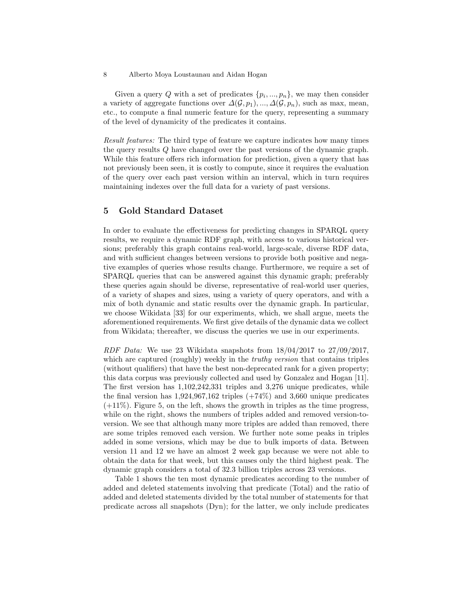#### 8 Alberto Moya Loustaunau and Aidan Hogan

Given a query Q with a set of predicates  $\{p_i, ..., p_n\}$ , we may then consider a variety of aggregate functions over  $\Delta(\mathcal{G}, p_1), ..., \Delta(\mathcal{G}, p_n)$ , such as max, mean, etc., to compute a final numeric feature for the query, representing a summary of the level of dynamicity of the predicates it contains.

Result features: The third type of feature we capture indicates how many times the query results Q have changed over the past versions of the dynamic graph. While this feature offers rich information for prediction, given a query that has not previously been seen, it is costly to compute, since it requires the evaluation of the query over each past version within an interval, which in turn requires maintaining indexes over the full data for a variety of past versions.

# 5 Gold Standard Dataset

In order to evaluate the effectiveness for predicting changes in SPARQL query results, we require a dynamic RDF graph, with access to various historical versions; preferably this graph contains real-world, large-scale, diverse RDF data, and with sufficient changes between versions to provide both positive and negative examples of queries whose results change. Furthermore, we require a set of SPARQL queries that can be answered against this dynamic graph; preferably these queries again should be diverse, representative of real-world user queries, of a variety of shapes and sizes, using a variety of query operators, and with a mix of both dynamic and static results over the dynamic graph. In particular, we choose Wikidata [\[33\]](#page-15-5) for our experiments, which, we shall argue, meets the aforementioned requirements. We first give details of the dynamic data we collect from Wikidata; thereafter, we discuss the queries we use in our experiments.

RDF Data: We use 23 Wikidata snapshots from  $18/04/2017$  to  $27/09/2017$ , which are captured (roughly) weekly in the *truthy version* that contains triples (without qualifiers) that have the best non-deprecated rank for a given property; this data corpus was previously collected and used by Gonzalez and Hogan [\[11\]](#page-14-4). The first version has 1,102,242,331 triples and 3,276 unique predicates, while the final version has  $1,924,967,162$  triples  $(+74%)$  and 3,660 unique predicates  $(+11%)$ . Figure [5,](#page-8-0) on the left, shows the growth in triples as the time progress, while on the right, shows the numbers of triples added and removed version-toversion. We see that although many more triples are added than removed, there are some triples removed each version. We further note some peaks in triples added in some versions, which may be due to bulk imports of data. Between version 11 and 12 we have an almost 2 week gap because we were not able to obtain the data for that week, but this causes only the third highest peak. The dynamic graph considers a total of 32.3 billion triples across 23 versions.

Table [1](#page-8-1) shows the ten most dynamic predicates according to the number of added and deleted statements involving that predicate (Total) and the ratio of added and deleted statements divided by the total number of statements for that predicate across all snapshots (Dyn); for the latter, we only include predicates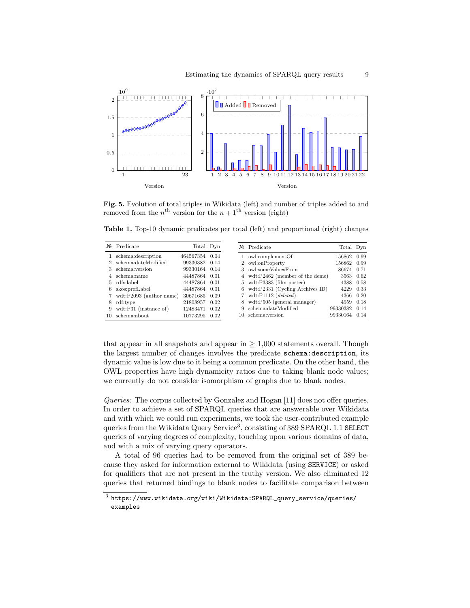

<span id="page-8-0"></span>Fig. 5. Evolution of total triples in Wikidata (left) and number of triples added to and removed from the  $n^{\text{th}}$  version for the  $n+1^{\text{th}}$  version (right)

<span id="page-8-1"></span>Table 1. Top-10 dynamic predicates per total (left) and proportional (right) changes

| $N_2$ | Predicate                 | Total Dyn     |      |     | $N_{\!\!\circ}$ Predicate                   | Total Dyn     |  |
|-------|---------------------------|---------------|------|-----|---------------------------------------------|---------------|--|
|       | 1 schema: description     | 464567354     | 0.04 |     | owl:complementOf                            | 156862 0.99   |  |
|       | 2 schema:dateModified     | 99330382 0.14 |      |     | 2 owl:onProperty                            | 156862 0.99   |  |
| 3.    | schema: version           | 99330164      | 0.14 | 3   | owl:someValuesFrom                          | 86674 0.71    |  |
|       | schema:name               | 44487864      | 0.01 |     | 4 wdt:P2462 (member of the deme)            | 3563 0.62     |  |
|       | 5 rdfs:label              | 44487864      | 0.01 |     | $5 \text{ wdt}:P3383 \text{ (film poster)}$ | 4388 0.58     |  |
| 6.    | skos: prefLabel           | 44487864      | 0.01 | 6.  | wdt:P2331 (Cycling Archives ID)             | 4229 0.33     |  |
|       | 7 wdt:P2093 (author name) | 30671685      | 0.09 |     | 7 wdt:P $1112 (deleted)$                    | 4366 0.20     |  |
| 8     | rdf:type                  | 21808957      | 0.02 | 8   | wdt:P505 (general manager)                  | 4959 0.18     |  |
| 9     | wdt:P31 (instance of)     | 12483471      | 0.02 | 9   | schema:dateModified                         | 99330382 0.14 |  |
| 10.   | schema:about              | 10773295      | 0.02 | 10. | schema: version                             | 99330164 0.14 |  |

that appear in all snapshots and appear in  $\geq 1,000$  statements overall. Though the largest number of changes involves the predicate schema:description, its dynamic value is low due to it being a common predicate. On the other hand, the OWL properties have high dynamicity ratios due to taking blank node values; we currently do not consider isomorphism of graphs due to blank nodes.

Queries: The corpus collected by Gonzalez and Hogan [\[11\]](#page-14-4) does not offer queries. In order to achieve a set of SPARQL queries that are answerable over Wikidata and with which we could run experiments, we took the user-contributed example queries from the Wikidata Query Service<sup>[3](#page-8-2)</sup>, consisting of 389 SPARQL 1.1 SELECT queries of varying degrees of complexity, touching upon various domains of data, and with a mix of varying query operators.

A total of 96 queries had to be removed from the original set of 389 because they asked for information external to Wikidata (using SERVICE) or asked for qualifiers that are not present in the truthy version. We also eliminated 12 queries that returned bindings to blank nodes to facilitate comparison between

<span id="page-8-2"></span> $^3$ [https://www.wikidata.org/wiki/Wikidata:SPARQL\\_query\\_service/queries/](https://www.wikidata.org/wiki/Wikidata:SPARQL_query_service/queries/examples) [examples](https://www.wikidata.org/wiki/Wikidata:SPARQL_query_service/queries/examples)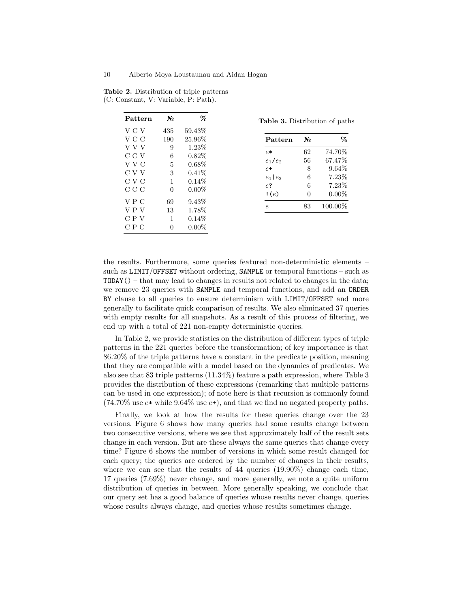<span id="page-9-0"></span>

| Pattern | No  | ℅         |
|---------|-----|-----------|
| V C V   | 435 | 59.43%    |
| V C C   | 190 | $25.96\%$ |
| V V V   | 9   | $1.23\%$  |
| C C V   | 6   | $0.82\%$  |
| V V C   | 5   | $0.68\%$  |
| C V V   | 3   | $0.41\%$  |
| C V C   | 1   | $0.14\%$  |
| ссс     | 0   | $0.00\%$  |
| VPC     | 69  | $9.43\%$  |
| VPV     | 13  | $1.78\%$  |
| C P V   | 1   | $0.14\%$  |
| СРС     | 0   | $0.00\%$  |

Table 2. Distribution of triple patterns (C: Constant, V: Variable, P: Path).

<span id="page-9-1"></span>Table 3. Distribution of paths

| Pattern          | No | %        |
|------------------|----|----------|
| P.*              | 62 | 74.70%   |
| $e_1/e_2$        | 56 | 67.47%   |
| $e+$             | 8  | $9.64\%$ |
| $e_1$   $e_2$    | 6  | 7.23%    |
| $e^{\mathbf{2}}$ | 6  | 7.23%    |
| (c)              | O  | $0.00\%$ |
| $\epsilon$       | 83 | 100.00%  |

the results. Furthermore, some queries featured non-deterministic elements – such as LIMIT/OFFSET without ordering, SAMPLE or temporal functions – such as TODAY() – that may lead to changes in results not related to changes in the data; we remove 23 queries with SAMPLE and temporal functions, and add an ORDER BY clause to all queries to ensure determinism with LIMIT/OFFSET and more generally to facilitate quick comparison of results. We also eliminated 37 queries with empty results for all snapshots. As a result of this process of filtering, we end up with a total of 221 non-empty deterministic queries.

In Table [2,](#page-9-0) we provide statistics on the distribution of different types of triple patterns in the 221 queries before the transformation; of key importance is that 86.20% of the triple patterns have a constant in the predicate position, meaning that they are compatible with a model based on the dynamics of predicates. We also see that 83 triple patterns (11.34%) feature a path expression, where Table [3](#page-9-1) provides the distribution of these expressions (remarking that multiple patterns can be used in one expression); of note here is that recursion is commonly found  $(74.70\%$  use  $e*$  while 9.64% use  $e+$ ), and that we find no negated property paths.

Finally, we look at how the results for these queries change over the 23 versions. Figure [6](#page-10-0) shows how many queries had some results change between two consecutive versions, where we see that approximately half of the result sets change in each version. But are these always the same queries that change every time? Figure [6](#page-10-0) shows the number of versions in which some result changed for each query; the queries are ordered by the number of changes in their results, where we can see that the results of 44 queries  $(19.90\%)$  change each time, 17 queries (7.69%) never change, and more generally, we note a quite uniform distribution of queries in between. More generally speaking, we conclude that our query set has a good balance of queries whose results never change, queries whose results always change, and queries whose results sometimes change.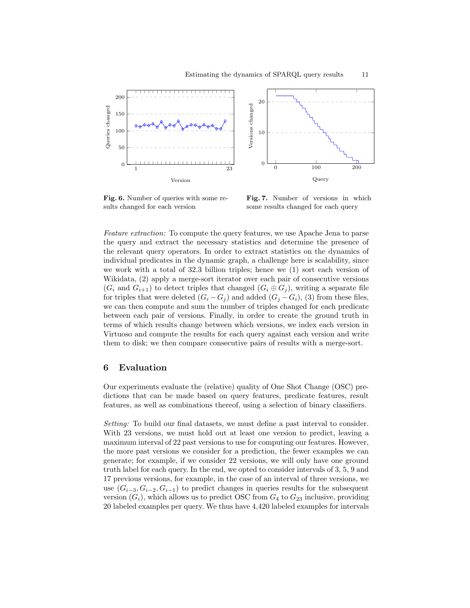![](_page_10_Figure_1.jpeg)

<span id="page-10-0"></span>Fig. 6. Number of queries with some results changed for each version

Fig. 7. Number of versions in which some results changed for each query

Feature extraction: To compute the query features, we use Apache Jena to parse the query and extract the necessary statistics and determine the presence of the relevant query operators. In order to extract statistics on the dynamics of individual predicates in the dynamic graph, a challenge here is scalability, since we work with a total of 32.3 billion triples; hence we (1) sort each version of Wikidata, (2) apply a merge-sort iterator over each pair of consecutive versions  $(G_i \text{ and } G_{i+1})$  to detect triples that changed  $(G_i \oplus G_j)$ , writing a separate file for triples that were deleted  $(G_i - G_j)$  and added  $(G_j - G_i)$ , (3) from these files, we can then compute and sum the number of triples changed for each predicate between each pair of versions. Finally, in order to create the ground truth in terms of which results change between which versions, we index each version in Virtuoso and compute the results for each query against each version and write them to disk; we then compare consecutive pairs of results with a merge-sort.

### 6 Evaluation

Our experiments evaluate the (relative) quality of One Shot Change (OSC) predictions that can be made based on query features, predicate features, result features, as well as combinations thereof, using a selection of binary classifiers.

Setting: To build our final datasets, we must define a past interval to consider. With 23 versions, we must hold out at least one version to predict, leaving a maximum interval of 22 past versions to use for computing our features. However, the more past versions we consider for a prediction, the fewer examples we can generate; for example, if we consider 22 versions, we will only have one ground truth label for each query. In the end, we opted to consider intervals of 3, 5, 9 and 17 previous versions, for example, in the case of an interval of three versions, we use  $(G_{i-3}, G_{i-2}, G_{i-1})$  to predict changes in queries results for the subsequent version  $(G_i)$ , which allows us to predict OSC from  $G_4$  to  $G_{23}$  inclusive, providing 20 labeled examples per query. We thus have 4,420 labeled examples for intervals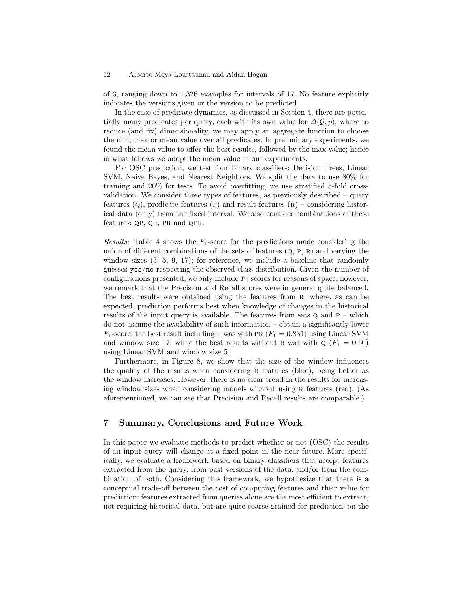#### 12 Alberto Moya Loustaunau and Aidan Hogan

of 3, ranging down to 1,326 examples for intervals of 17. No feature explicitly indicates the versions given or the version to be predicted.

In the case of predicate dynamics, as discussed in Section [4,](#page-4-0) there are potentially many predicates per query, each with its own value for  $\Delta(\mathcal{G}, p)$ , where to reduce (and fix) dimensionality, we may apply an aggregate function to choose the min, max or mean value over all predicates. In preliminary experiments, we found the mean value to offer the best results, followed by the max value; hence in what follows we adopt the mean value in our experiments.

For OSC prediction, we test four binary classifiers: Decision Trees, Linear SVM, Naive Bayes, and Nearest Neighbors. We split the data to use 80% for training and 20% for tests. To avoid overfitting, we use stratified 5-fold crossvalidation. We consider three types of features, as previously described – query features  $(Q)$ , predicate features  $(P)$  and result features  $(R)$  – considering historical data (only) from the fixed interval. We also consider combinations of these features: QP, QR, PR and QPR.

Results: Table [4](#page-12-0) shows the  $F_1$ -score for the predictions made considering the union of different combinations of the sets of features  $(Q, P, R)$  and varying the window sizes  $(3, 5, 9, 17)$ ; for reference, we include a baseline that randomly guesses yes/no respecting the observed class distribution. Given the number of configurations presented, we only include  $F_1$  scores for reasons of space; however, we remark that the Precision and Recall scores were in general quite balanced. The best results were obtained using the features from R, where, as can be expected, prediction performs best when knowledge of changes in the historical results of the input query is available. The features from sets  $Q$  and  $P -$  which do not assume the availability of such information – obtain a significantly lower  $F_1$ -score; the best result including R was with PR ( $F_1 = 0.831$ ) using Linear SVM and window size 17, while the best results without R was with  $\mathbf{Q}$  ( $F_1 = 0.60$ ) using Linear SVM and window size 5.

Furthermore, in Figure [8,](#page-13-0) we show that the size of the window influences the quality of the results when considering R features (blue), being better as the window increases. However, there is no clear trend in the results for increasing window sizes when considering models without using R features (red). (As aforementioned, we can see that Precision and Recall results are comparable.)

# 7 Summary, Conclusions and Future Work

In this paper we evaluate methods to predict whether or not (OSC) the results of an input query will change at a fixed point in the near future. More specifically, we evaluate a framework based on binary classifiers that accept features extracted from the query, from past versions of the data, and/or from the combination of both. Considering this framework, we hypothesize that there is a conceptual trade-off between the cost of computing features and their value for prediction: features extracted from queries alone are the most efficient to extract, not requiring historical data, but are quite coarse-grained for prediction; on the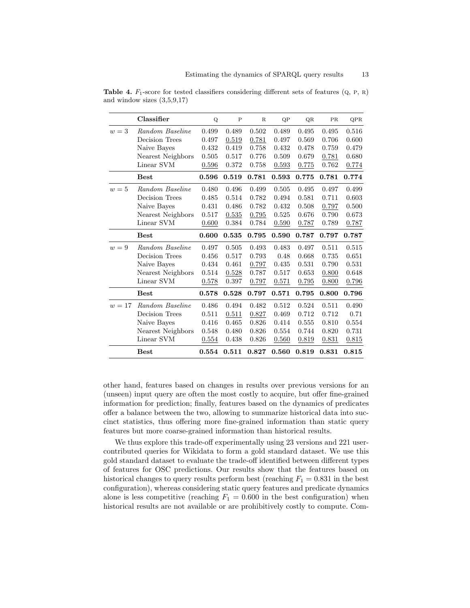|        | Classifier        | Q     | $\mathbf P$ | $\mathbf R$ | QP    | QR    | PR    | QPR   |
|--------|-------------------|-------|-------------|-------------|-------|-------|-------|-------|
| $w=3$  | Random Baseline   | 0.499 | 0.489       | 0.502       | 0.489 | 0.495 | 0.495 | 0.516 |
|        | Decision Trees    | 0.497 | 0.519       | 0.781       | 0.497 | 0.569 | 0.706 | 0.600 |
|        | Naive Bayes       | 0.432 | 0.419       | 0.758       | 0.432 | 0.478 | 0.759 | 0.479 |
|        | Nearest Neighbors | 0.505 | 0.517       | 0.776       | 0.509 | 0.679 | 0.781 | 0.680 |
|        | Linear SVM        | 0.596 | 0.372       | 0.758       | 0.593 | 0.775 | 0.762 | 0.774 |
|        | <b>Best</b>       | 0.596 | 0.519       | 0.781       | 0.593 | 0.775 | 0.781 | 0.774 |
| $w=5$  | Random Baseline   | 0.480 | 0.496       | 0.499       | 0.505 | 0.495 | 0.497 | 0.499 |
|        | Decision Trees    | 0.485 | 0.514       | 0.782       | 0.494 | 0.581 | 0.711 | 0.603 |
|        | Naive Bayes       | 0.431 | 0.486       | 0.782       | 0.432 | 0.508 | 0.797 | 0.500 |
|        | Nearest Neighbors | 0.517 | 0.535       | 0.795       | 0.525 | 0.676 | 0.790 | 0.673 |
|        | Linear SVM        | 0.600 | 0.384       | 0.784       | 0.590 | 0.787 | 0.789 | 0.787 |
|        | <b>Best</b>       | 0.600 | 0.535       | 0.795       | 0.590 | 0.787 | 0.797 | 0.787 |
| $w=9$  | Random Baseline   | 0.497 | 0.505       | 0.493       | 0.483 | 0.497 | 0.511 | 0.515 |
|        | Decision Trees    | 0.456 | 0.517       | 0.793       | 0.48  | 0.668 | 0.735 | 0.651 |
|        | Naive Bayes       | 0.434 | 0.461       | 0.797       | 0.435 | 0.531 | 0.790 | 0.531 |
|        | Nearest Neighbors | 0.514 | 0.528       | 0.787       | 0.517 | 0.653 | 0.800 | 0.648 |
|        | Linear SVM        | 0.578 | 0.397       | 0.797       | 0.571 | 0.795 | 0.800 | 0.796 |
|        | <b>Best</b>       | 0.578 | 0.528       | 0.797       | 0.571 | 0.795 | 0.800 | 0.796 |
| $w=17$ | Random Baseline   | 0.486 | 0.494       | 0.482       | 0.512 | 0.524 | 0.511 | 0.490 |
|        | Decision Trees    | 0.511 | 0.511       | 0.827       | 0.469 | 0.712 | 0.712 | 0.71  |
|        | Naive Bayes       | 0.416 | 0.465       | 0.826       | 0.414 | 0.555 | 0.810 | 0.554 |
|        | Nearest Neighbors | 0.548 | 0.480       | 0.826       | 0.554 | 0.744 | 0.820 | 0.731 |
|        | Linear SVM        | 0.554 | 0.438       | 0.826       | 0.560 | 0.819 | 0.831 | 0.815 |
|        | <b>Best</b>       | 0.554 | 0.511       | 0.827       | 0.560 | 0.819 | 0.831 | 0.815 |

<span id="page-12-0"></span>**Table 4.**  $F_1$ -score for tested classifiers considering different sets of features  $(Q, P, R)$ and window sizes  $(3,5,9,17)$ 

other hand, features based on changes in results over previous versions for an (unseen) input query are often the most costly to acquire, but offer fine-grained information for prediction; finally, features based on the dynamics of predicates offer a balance between the two, allowing to summarize historical data into succinct statistics, thus offering more fine-grained information than static query features but more coarse-grained information than historical results.

We thus explore this trade-off experimentally using 23 versions and 221 usercontributed queries for Wikidata to form a gold standard dataset. We use this gold standard dataset to evaluate the trade-off identified between different types of features for OSC predictions. Our results show that the features based on historical changes to query results perform best (reaching  $F_1 = 0.831$  in the best configuration), whereas considering static query features and predicate dynamics alone is less competitive (reaching  $F_1 = 0.600$  in the best configuration) when historical results are not available or are prohibitively costly to compute. Com-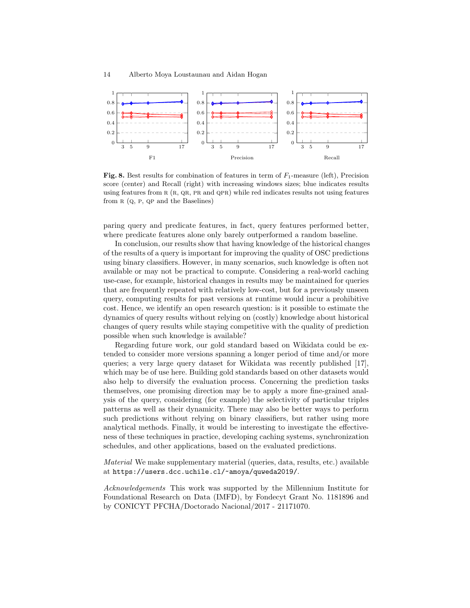![](_page_13_Figure_1.jpeg)

<span id="page-13-0"></span>**Fig. 8.** Best results for combination of features in term of  $F_1$ -measure (left), Precision score (center) and Recall (right) with increasing windows sizes; blue indicates results using features from  $R(R, QR, PR, and QPR)$  while red indicates results not using features from  $R$  (Q, P, QP and the Baselines)

paring query and predicate features, in fact, query features performed better, where predicate features alone only barely outperformed a random baseline.

In conclusion, our results show that having knowledge of the historical changes of the results of a query is important for improving the quality of OSC predictions using binary classifiers. However, in many scenarios, such knowledge is often not available or may not be practical to compute. Considering a real-world caching use-case, for example, historical changes in results may be maintained for queries that are frequently repeated with relatively low-cost, but for a previously unseen query, computing results for past versions at runtime would incur a prohibitive cost. Hence, we identify an open research question: is it possible to estimate the dynamics of query results without relying on (costly) knowledge about historical changes of query results while staying competitive with the quality of prediction possible when such knowledge is available?

Regarding future work, our gold standard based on Wikidata could be extended to consider more versions spanning a longer period of time and/or more queries; a very large query dataset for Wikidata was recently published [\[17\]](#page-14-17), which may be of use here. Building gold standards based on other datasets would also help to diversify the evaluation process. Concerning the prediction tasks themselves, one promising direction may be to apply a more fine-grained analysis of the query, considering (for example) the selectivity of particular triples patterns as well as their dynamicity. There may also be better ways to perform such predictions without relying on binary classifiers, but rather using more analytical methods. Finally, it would be interesting to investigate the effectiveness of these techniques in practice, developing caching systems, synchronization schedules, and other applications, based on the evaluated predictions.

Material We make supplementary material (queries, data, results, etc.) available at <https://users.dcc.uchile.cl/~amoya/quweda2019/>.

Acknowledgements This work was supported by the Millennium Institute for Foundational Research on Data (IMFD), by Fondecyt Grant No. 1181896 and by CONICYT PFCHA/Doctorado Nacional/2017 - 21171070.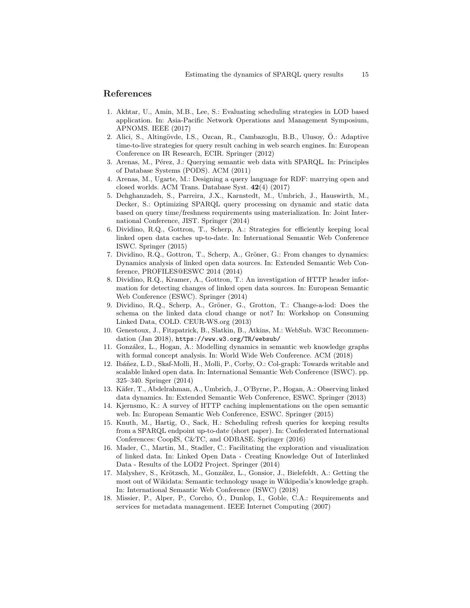### References

- <span id="page-14-13"></span>1. Akhtar, U., Amin, M.B., Lee, S.: Evaluating scheduling strategies in LOD based application. In: Asia-Pacific Network Operations and Management Symposium, APNOMS. IEEE (2017)
- <span id="page-14-12"></span>2. Alici, S., Altingövde, I.S., Ozcan, R., Cambazoglu, B.B., Ulusoy, Ö.: Adaptive time-to-live strategies for query result caching in web search engines. In: European Conference on IR Research, ECIR. Springer (2012)
- <span id="page-14-15"></span>3. Arenas, M., Pérez, J.: Querying semantic web data with SPARQL. In: Principles of Database Systems (PODS). ACM (2011)
- <span id="page-14-16"></span>4. Arenas, M., Ugarte, M.: Designing a query language for RDF: marrying open and closed worlds. ACM Trans. Database Syst. 42(4) (2017)
- <span id="page-14-14"></span>5. Dehghanzadeh, S., Parreira, J.X., Karnstedt, M., Umbrich, J., Hauswirth, M., Decker, S.: Optimizing SPARQL query processing on dynamic and static data based on query time/freshness requirements using materialization. In: Joint International Conference, JIST. Springer (2014)
- <span id="page-14-1"></span>6. Dividino, R.Q., Gottron, T., Scherp, A.: Strategies for efficiently keeping local linked open data caches up-to-date. In: International Semantic Web Conference ISWC. Springer (2015)
- <span id="page-14-3"></span>7. Dividino, R.Q., Gottron, T., Scherp, A., Gröner, G.: From changes to dynamics: Dynamics analysis of linked open data sources. In: Extended Semantic Web Conference, PROFILES@ESWC 2014 (2014)
- <span id="page-14-7"></span>8. Dividino, R.Q., Kramer, A., Gottron, T.: An investigation of HTTP header information for detecting changes of linked open data sources. In: European Semantic Web Conference (ESWC). Springer (2014)
- <span id="page-14-5"></span>9. Dividino, R.Q., Scherp, A., Gröner, G., Grotton, T.: Change-a-lod: Does the schema on the linked data cloud change or not? In: Workshop on Consuming Linked Data, COLD. CEUR-WS.org (2013)
- <span id="page-14-11"></span>10. Genestoux, J., Fitzpatrick, B., Slatkin, B., Atkins, M.: WebSub. W3C Recommendation (Jan 2018), <https://www.w3.org/TR/websub/>
- <span id="page-14-4"></span>11. Gonz´alez, L., Hogan, A.: Modelling dynamics in semantic web knowledge graphs with formal concept analysis. In: World Wide Web Conference. ACM (2018)
- <span id="page-14-6"></span>12. Ibáñez, L.D., Skaf-Molli, H., Molli, P., Corby, O.: Col-graph: Towards writable and scalable linked open data. In: International Semantic Web Conference (ISWC). pp. 325–340. Springer (2014)
- <span id="page-14-2"></span>13. Käfer, T., Abdelrahman, A., Umbrich, J., O'Byrne, P., Hogan, A.: Observing linked data dynamics. In: Extended Semantic Web Conference, ESWC. Springer (2013)
- <span id="page-14-8"></span>14. Kjernsmo, K.: A survey of HTTP caching implementations on the open semantic web. In: European Semantic Web Conference, ESWC. Springer (2015)
- <span id="page-14-0"></span>15. Knuth, M., Hartig, O., Sack, H.: Scheduling refresh queries for keeping results from a SPARQL endpoint up-to-date (short paper). In: Confederated International Conferences: CoopIS, C&TC, and ODBASE. Springer (2016)
- <span id="page-14-10"></span>16. Mader, C., Martin, M., Stadler, C.: Facilitating the exploration and visualization of linked data. In: Linked Open Data - Creating Knowledge Out of Interlinked Data - Results of the LOD2 Project. Springer (2014)
- <span id="page-14-17"></span>17. Malyshev, S., Krötzsch, M., González, L., Gonsior, J., Bielefeldt, A.: Getting the most out of Wikidata: Semantic technology usage in Wikipedia's knowledge graph. In: International Semantic Web Conference (ISWC) (2018)
- <span id="page-14-9"></span>18. Missier, P., Alper, P., Corcho, O., Dunlop, I., Goble, C.A.: Requirements and ´ services for metadata management. IEEE Internet Computing (2007)